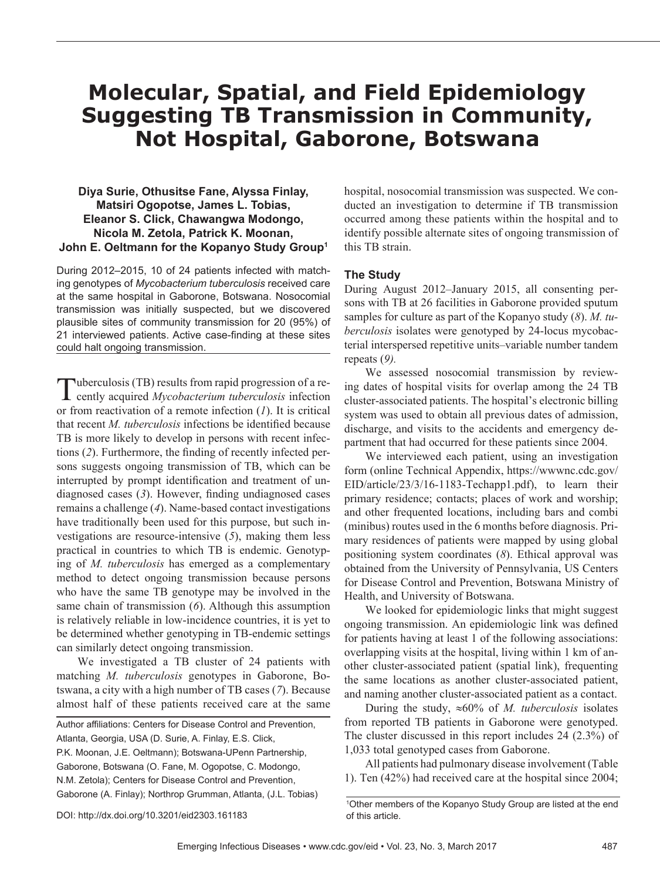# **Molecular, Spatial, and Field Epidemiology Suggesting TB Transmission in Community, Not Hospital, Gaborone, Botswana**

## **Diya Surie, Othusitse Fane, Alyssa Finlay, Matsiri Ogopotse, James L. Tobias, Eleanor S. Click, Chawangwa Modongo, Nicola M. Zetola, Patrick K. Moonan, John E. Oeltmann for the Kopanyo Study Group1**

During 2012–2015, 10 of 24 patients infected with matching genotypes of *Mycobacterium tuberculosis* received care at the same hospital in Gaborone, Botswana. Nosocomial transmission was initially suspected, but we discovered plausible sites of community transmission for 20 (95%) of 21 interviewed patients. Active case-finding at these sites could halt ongoing transmission.

Tuberculosis (TB) results from rapid progression of a re-<br>cently acquired *Mycobacterium tuberculosis* infection or from reactivation of a remote infection (*1*). It is critical that recent *M. tuberculosis* infections be identified because TB is more likely to develop in persons with recent infections (*2*). Furthermore, the finding of recently infected persons suggests ongoing transmission of TB, which can be interrupted by prompt identification and treatment of undiagnosed cases (*3*). However, finding undiagnosed cases remains a challenge (*4*). Name-based contact investigations have traditionally been used for this purpose, but such investigations are resource-intensive (*5*), making them less practical in countries to which TB is endemic. Genotyping of *M. tuberculosis* has emerged as a complementary method to detect ongoing transmission because persons who have the same TB genotype may be involved in the same chain of transmission (*6*). Although this assumption is relatively reliable in low-incidence countries, it is yet to be determined whether genotyping in TB-endemic settings can similarly detect ongoing transmission.

We investigated a TB cluster of 24 patients with matching *M. tuberculosis* genotypes in Gaborone, Botswana, a city with a high number of TB cases (*7*). Because almost half of these patients received care at the same

Author affiliations: Centers for Disease Control and Prevention, Atlanta, Georgia, USA (D. Surie, A. Finlay, E.S. Click, P.K. Moonan, J.E. Oeltmann); Botswana-UPenn Partnership, Gaborone, Botswana (O. Fane, M. Ogopotse, C. Modongo, N.M. Zetola); Centers for Disease Control and Prevention, Gaborone (A. Finlay); Northrop Grumman, Atlanta, (J.L. Tobias)

hospital, nosocomial transmission was suspected. We conducted an investigation to determine if TB transmission occurred among these patients within the hospital and to identify possible alternate sites of ongoing transmission of this TB strain.

### **The Study**

During August 2012–January 2015, all consenting persons with TB at 26 facilities in Gaborone provided sputum samples for culture as part of the Kopanyo study (*8*). *M. tuberculosis* isolates were genotyped by 24-locus mycobacterial interspersed repetitive units–variable number tandem repeats (*9).*

We assessed nosocomial transmission by reviewing dates of hospital visits for overlap among the 24 TB cluster-associated patients. The hospital's electronic billing system was used to obtain all previous dates of admission, discharge, and visits to the accidents and emergency department that had occurred for these patients since 2004.

We interviewed each patient, using an investigation form (online Technical Appendix, https://wwwnc.cdc.gov/ EID/article/23/3/16-1183-Techapp1.pdf), to learn their primary residence; contacts; places of work and worship; and other frequented locations, including bars and combi (minibus) routes used in the 6 months before diagnosis. Primary residences of patients were mapped by using global positioning system coordinates (*8*). Ethical approval was obtained from the University of Pennsylvania, US Centers for Disease Control and Prevention, Botswana Ministry of Health, and University of Botswana.

We looked for epidemiologic links that might suggest ongoing transmission. An epidemiologic link was defined for patients having at least 1 of the following associations: overlapping visits at the hospital, living within 1 km of another cluster-associated patient (spatial link), frequenting the same locations as another cluster-associated patient, and naming another cluster-associated patient as a contact.

During the study, ≈60% of *M. tuberculosis* isolates from reported TB patients in Gaborone were genotyped. The cluster discussed in this report includes 24 (2.3%) of 1,033 total genotyped cases from Gaborone.

All patients had pulmonary disease involvement (Table 1). Ten (42%) had received care at the hospital since 2004;

<sup>1</sup> Other members of the Kopanyo Study Group are listed at the end of this article.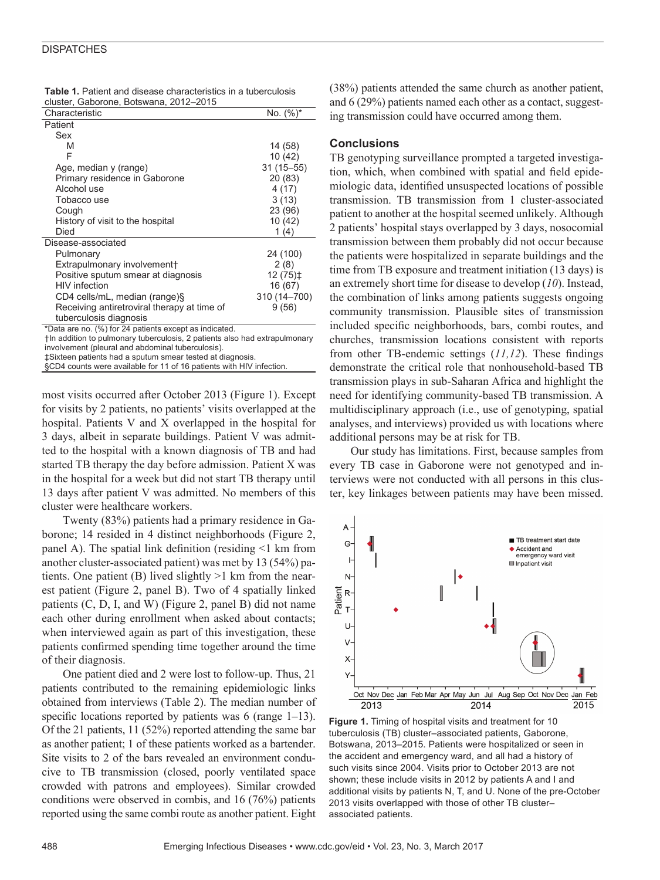#### **DISPATCHES**

| <b>Table 1.</b> Patient and disease characteristics in a tuberculosis |  |
|-----------------------------------------------------------------------|--|
| cluster. Gaborone. Botswana. 2012–2015                                |  |

| Characteristic                                                             | No. $(\%)^*$  |  |
|----------------------------------------------------------------------------|---------------|--|
| Patient                                                                    |               |  |
| Sex                                                                        |               |  |
| M                                                                          | 14 (58)       |  |
| F                                                                          | 10 (42)       |  |
| Age, median y (range)                                                      | $31(15 - 55)$ |  |
| Primary residence in Gaborone                                              | 20(83)        |  |
| Alcohol use                                                                | 4(17)         |  |
| Tobacco use                                                                | 3(13)         |  |
| Cough                                                                      | 23 (96)       |  |
| History of visit to the hospital                                           | 10 (42)       |  |
| Died                                                                       | 1 $(4)$       |  |
| Disease-associated                                                         |               |  |
| Pulmonary                                                                  | 24 (100)      |  |
| Extrapulmonary involvement+                                                | 2(8)          |  |
| Positive sputum smear at diagnosis                                         | $12(75)$ ‡    |  |
| <b>HIV</b> infection                                                       | 16 (67)       |  |
| CD4 cells/mL, median (range)§                                              | 310 (14-700)  |  |
| Receiving antiretroviral therapy at time of                                | 9(56)         |  |
| tuberculosis diagnosis                                                     |               |  |
| *Data are no. (%) for 24 patients except as indicated.                     |               |  |
| the addition to pulmonary tuberculosis, 2 patients also had extrapulmonary |               |  |

involvement (pleural and abdominal tuberculosis). ‡Sixteen patients had a sputum smear tested at diagnosis.

§CD4 counts were available for 11 of 16 patients with HIV infection.

most visits occurred after October 2013 (Figure 1). Except for visits by 2 patients, no patients' visits overlapped at the hospital. Patients V and X overlapped in the hospital for 3 days, albeit in separate buildings. Patient V was admitted to the hospital with a known diagnosis of TB and had started TB therapy the day before admission. Patient X was in the hospital for a week but did not start TB therapy until 13 days after patient V was admitted. No members of this cluster were healthcare workers.

Twenty (83%) patients had a primary residence in Gaborone; 14 resided in 4 distinct neighborhoods (Figure 2, panel A). The spatial link definition (residing <1 km from another cluster-associated patient) was met by 13 (54%) patients. One patient (B) lived slightly >1 km from the nearest patient (Figure 2, panel B). Two of 4 spatially linked patients (C, D, I, and W) (Figure 2, panel B) did not name each other during enrollment when asked about contacts; when interviewed again as part of this investigation, these patients confirmed spending time together around the time of their diagnosis.

One patient died and 2 were lost to follow-up. Thus, 21 patients contributed to the remaining epidemiologic links obtained from interviews (Table 2). The median number of specific locations reported by patients was 6 (range 1–13). Of the 21 patients, 11 (52%) reported attending the same bar as another patient; 1 of these patients worked as a bartender. Site visits to 2 of the bars revealed an environment conducive to TB transmission (closed, poorly ventilated space crowded with patrons and employees). Similar crowded conditions were observed in combis, and 16 (76%) patients reported using the same combi route as another patient. Eight

(38%) patients attended the same church as another patient, and 6 (29%) patients named each other as a contact, suggesting transmission could have occurred among them.

#### **Conclusions**

TB genotyping surveillance prompted a targeted investigation, which, when combined with spatial and field epidemiologic data, identified unsuspected locations of possible transmission. TB transmission from 1 cluster-associated patient to another at the hospital seemed unlikely. Although 2 patients' hospital stays overlapped by 3 days, nosocomial transmission between them probably did not occur because the patients were hospitalized in separate buildings and the time from TB exposure and treatment initiation (13 days) is an extremely short time for disease to develop (*10*). Instead, the combination of links among patients suggests ongoing community transmission. Plausible sites of transmission included specific neighborhoods, bars, combi routes, and churches, transmission locations consistent with reports from other TB-endemic settings (*11,12*). These findings demonstrate the critical role that nonhousehold-based TB transmission plays in sub-Saharan Africa and highlight the need for identifying community-based TB transmission. A multidisciplinary approach (i.e., use of genotyping, spatial analyses, and interviews) provided us with locations where additional persons may be at risk for TB.

Our study has limitations. First, because samples from every TB case in Gaborone were not genotyped and interviews were not conducted with all persons in this cluster, key linkages between patients may have been missed.



**Figure 1.** Timing of hospital visits and treatment for 10 tuberculosis (TB) cluster–associated patients, Gaborone, Botswana, 2013–2015. Patients were hospitalized or seen in the accident and emergency ward, and all had a history of such visits since 2004. Visits prior to October 2013 are not shown; these include visits in 2012 by patients A and I and additional visits by patients N, T, and U. None of the pre-October 2013 visits overlapped with those of other TB cluster– associated patients.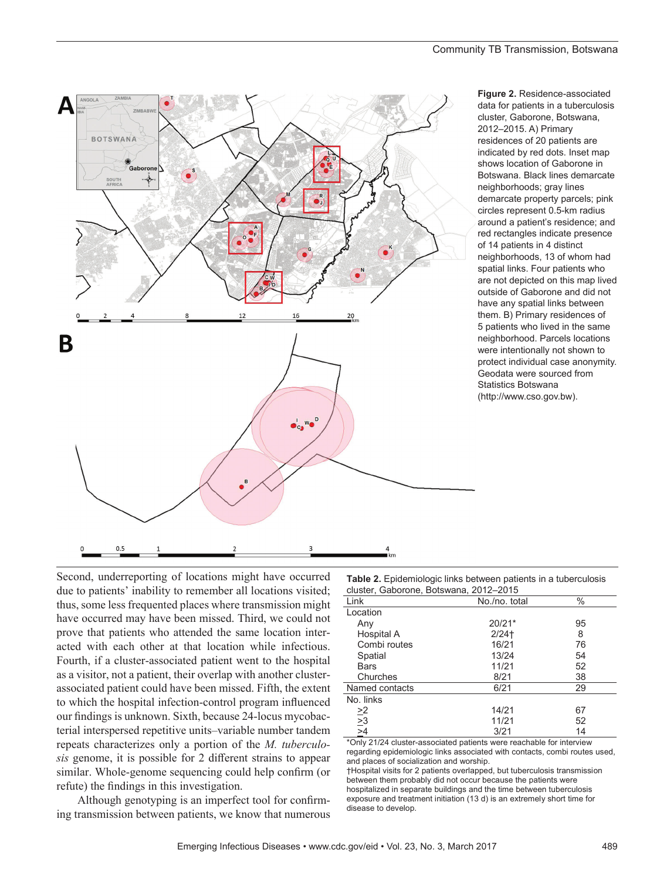

**Figure 2.** Residence-associated data for patients in a tuberculosis cluster, Gaborone, Botswana, 2012–2015. A) Primary residences of 20 patients are indicated by red dots. Inset map shows location of Gaborone in Botswana. Black lines demarcate neighborhoods; gray lines demarcate property parcels; pink circles represent 0.5-km radius around a patient's residence; and red rectangles indicate presence of 14 patients in 4 distinct neighborhoods, 13 of whom had spatial links. Four patients who are not depicted on this map lived outside of Gaborone and did not have any spatial links between them. B) Primary residences of 5 patients who lived in the same neighborhood. Parcels locations were intentionally not shown to protect individual case anonymity. Geodata were sourced from Statistics Botswana (http://www.cso.gov.bw).

Second, underreporting of locations might have occurred due to patients' inability to remember all locations visited; thus, some less frequented places where transmission might have occurred may have been missed. Third, we could not prove that patients who attended the same location interacted with each other at that location while infectious. Fourth, if a cluster-associated patient went to the hospital as a visitor, not a patient, their overlap with another clusterassociated patient could have been missed. Fifth, the extent to which the hospital infection-control program influenced our findings is unknown. Sixth, because 24-locus mycobacterial interspersed repetitive units–variable number tandem repeats characterizes only a portion of the *M. tuberculosis* genome, it is possible for 2 different strains to appear similar. Whole-genome sequencing could help confirm (or refute) the findings in this investigation.

Although genotyping is an imperfect tool for confirming transmission between patients, we know that numerous

**Table 2.** Epidemiologic links between patients in a tuberculosis cluster, Gaborone, Botswana, 2012–2015

| Link                                            | No./no. total | $\%$ |
|-------------------------------------------------|---------------|------|
| Location                                        |               |      |
| Any                                             | $20/21*$      | 95   |
| Hospital A                                      | $2/24$ t      | 8    |
| Combi routes                                    | 16/21         | 76   |
| Spatial                                         | 13/24         | 54   |
| Bars                                            | 11/21         | 52   |
| Churches                                        | 8/21          | 38   |
| Named contacts                                  | 6/21          | 29   |
| No. links                                       |               |      |
|                                                 | 14/21         | 67   |
| $\frac{\geq 2}{\geq 3}$ $\frac{\geq 4}{\geq 4}$ | 11/21         | 52   |
|                                                 | 3/21          | 14   |
|                                                 |               |      |

\*Only 21/24 cluster-associated patients were reachable for interview regarding epidemiologic links associated with contacts, combi routes used, and places of socialization and worship.

†Hospital visits for 2 patients overlapped, but tuberculosis transmission between them probably did not occur because the patients were hospitalized in separate buildings and the time between tuberculosis exposure and treatment initiation (13 d) is an extremely short time for disease to develop.